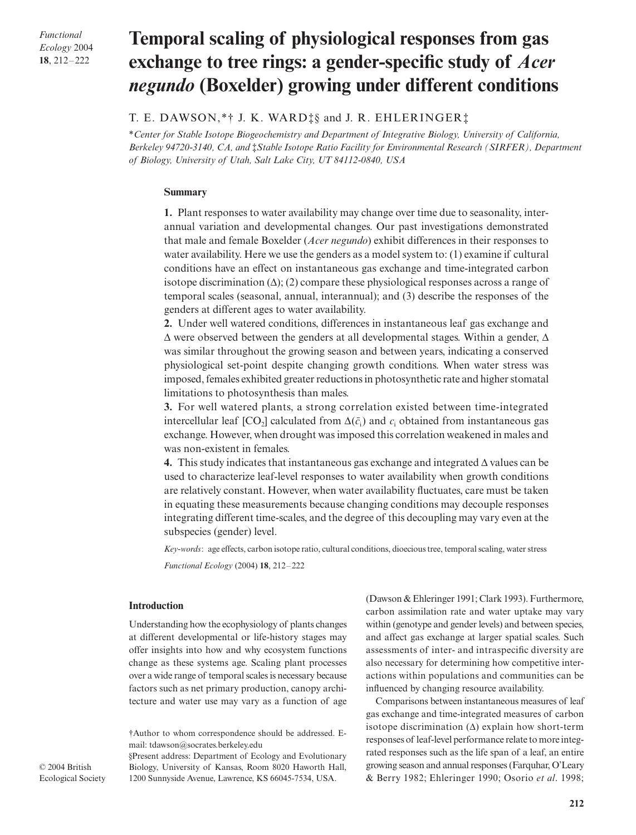*Functional Ecology* 2004 **18**, 212–222

# **Temporal scaling of physiological responses from gas exchange to tree rings: a gender-specific study of** *Acer negundo* **(Boxelder) growing under different conditions**

## T. E. DAWSON,\*† J. K. WARD‡§ and J. R. EHLERINGER‡

\**Center for Stable Isotope Biogeochemistry and Department of Integrative Biology, University of California, Berkeley 94720-3140, CA, and* ‡*Stable Isotope Ratio Facility for Environmental Research (SIRFER), Department of Biology, University of Utah, Salt Lake City, UT 84112-0840, USA* 

#### **Summary**

**1.** Plant responses to water availability may change over time due to seasonality, interannual variation and developmental changes. Our past investigations demonstrated that male and female Boxelder (*Acer negundo*) exhibit differences in their responses to water availability. Here we use the genders as a model system to: (1) examine if cultural conditions have an effect on instantaneous gas exchange and time-integrated carbon isotope discrimination  $(\Delta)$ ; (2) compare these physiological responses across a range of temporal scales (seasonal, annual, interannual); and (3) describe the responses of the genders at different ages to water availability.

**2.** Under well watered conditions, differences in instantaneous leaf gas exchange and ∆ were observed between the genders at all developmental stages. Within a gender, ∆ was similar throughout the growing season and between years, indicating a conserved physiological set-point despite changing growth conditions. When water stress was imposed, females exhibited greater reductions in photosynthetic rate and higher stomatal limitations to photosynthesis than males.

**3.** For well watered plants, a strong correlation existed between time-integrated intercellular leaf [CO<sub>2</sub>] calculated from  $\Delta(\bar{c}_i)$  and  $c_i$  obtained from instantaneous gas exchange. However, when drought was imposed this correlation weakened in males and was non-existent in females.

**4.** This study indicates that instantaneous gas exchange and integrated ∆ values can be used to characterize leaf-level responses to water availability when growth conditions are relatively constant. However, when water availability fluctuates, care must be taken in equating these measurements because changing conditions may decouple responses integrating different time-scales, and the degree of this decoupling may vary even at the subspecies (gender) level.

*Key-words*: age effects, carbon isotope ratio, cultural conditions, dioecious tree, temporal scaling, water stress *Functional Ecology* (2004) **18**, 212–222

#### **Introduction**

Understanding how the ecophysiology of plants changes at different developmental or life-history stages may offer insights into how and why ecosystem functions change as these systems age. Scaling plant processes over a wide range of temporal scales is necessary because factors such as net primary production, canopy architecture and water use may vary as a function of age

†Author to whom correspondence should be addressed. Email: tdawson@socrates.berkeley.edu

§Present address: Department of Ecology and Evolutionary Biology, University of Kansas, Room 8020 Haworth Hall, 1200 Sunnyside Avenue, Lawrence, KS 66045-7534, USA.

(Dawson & Ehleringer 1991; Clark 1993). Furthermore, carbon assimilation rate and water uptake may vary within (genotype and gender levels) and between species, and affect gas exchange at larger spatial scales. Such assessments of inter- and intraspecific diversity are also necessary for determining how competitive interactions within populations and communities can be influenced by changing resource availability.

Comparisons between instantaneous measures of leaf gas exchange and time-integrated measures of carbon isotope discrimination (∆) explain how short-term responses of leaf-level performance relate to more integrated responses such as the life span of a leaf, an entire growing season and annual responses (Farquhar, O'Leary & Berry 1982; Ehleringer 1990; Osorio *et al*. 1998;

© 2004 British Ecological Society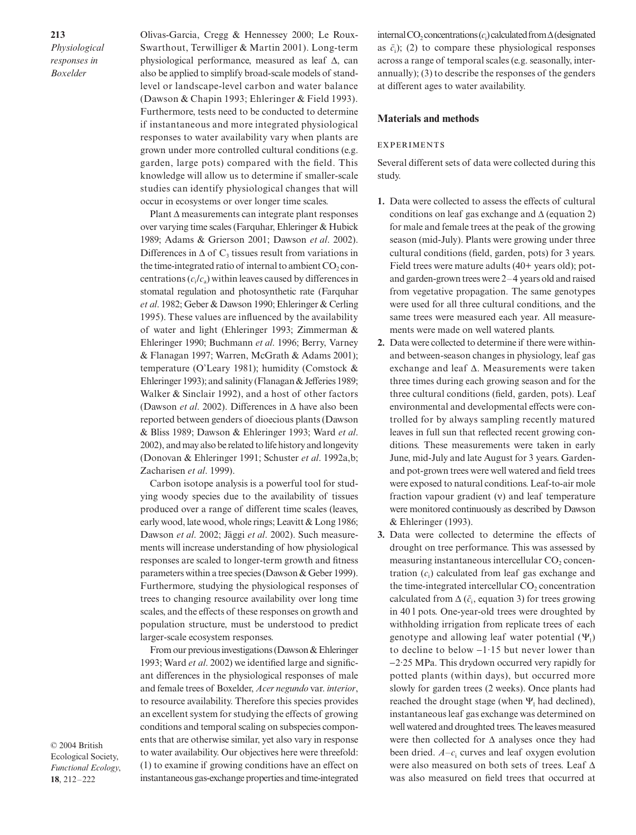Olivas-Garcia, Cregg & Hennessey 2000; Le Roux-Swarthout, Terwilliger & Martin 2001). Long-term physiological performance, measured as leaf ∆, can also be applied to simplify broad-scale models of standlevel or landscape-level carbon and water balance (Dawson & Chapin 1993; Ehleringer & Field 1993). Furthermore, tests need to be conducted to determine if instantaneous and more integrated physiological responses to water availability vary when plants are grown under more controlled cultural conditions (e.g. garden, large pots) compared with the field. This knowledge will allow us to determine if smaller-scale studies can identify physiological changes that will occur in ecosystems or over longer time scales.

Plant ∆ measurements can integrate plant responses over varying time scales(Farquhar, Ehleringer & Hubick 1989; Adams & Grierson 2001; Dawson *et al*. 2002). Differences in  $\Delta$  of C<sub>3</sub> tissues result from variations in the time-integrated ratio of internal to ambient  $CO<sub>2</sub>$  concentrations  $(c_i/c_a)$  within leaves caused by differences in stomatal regulation and photosynthetic rate (Farquhar *et al*. 1982; Geber & Dawson 1990; Ehleringer & Cerling 1995). These values are influenced by the availability of water and light (Ehleringer 1993; Zimmerman & Ehleringer 1990; Buchmann *et al*. 1996; Berry, Varney & Flanagan 1997; Warren, McGrath & Adams 2001); temperature (O'Leary 1981); humidity (Comstock & Ehleringer 1993); and salinity (Flanagan & Jefferies 1989; Walker & Sinclair 1992), and a host of other factors (Dawson *et al*. 2002). Differences in ∆ have also been reported between genders of dioecious plants(Dawson & Bliss 1989; Dawson & Ehleringer 1993; Ward *et al*. 2002), and may also be related to life history and longevity (Donovan & Ehleringer 1991; Schuster *et al*. 1992a,b; Zacharisen *et al*. 1999).

Carbon isotope analysis is a powerful tool for studying woody species due to the availability of tissues produced over a range of different time scales (leaves, early wood, late wood, whole rings; Leavitt & Long 1986; Dawson *et al*. 2002; Jäggi *et al*. 2002). Such measurements will increase understanding of how physiological responses are scaled to longer-term growth and fitness parameters within a tree species (Dawson & Geber 1999). Furthermore, studying the physiological responses of trees to changing resource availability over long time scales, and the effects of these responses on growth and population structure, must be understood to predict larger-scale ecosystem responses.

From our previous investigations (Dawson  $&$  Ehleringer 1993; Ward *et al*. 2002) we identified large and significant differences in the physiological responses of male and female trees of Boxelder, *Acer negundo* var. *interior*, to resource availability. Therefore this species provides an excellent system for studying the effects of growing conditions and temporal scaling on subspecies components that are otherwise similar, yet also vary in response to water availability. Our objectives here were threefold: (1) to examine if growing conditions have an effect on instantaneous gas-exchange properties and time-integrated

© 2004 British Ecological Society, *Functional Ecology*, **18**, 212–222

internal CO<sub>2</sub> concentrations (*c*<sub>i</sub>) calculated from ∆ (designated as  $\bar{c}_i$ ); (2) to compare these physiological responses across a range of temporal scales (e.g. seasonally, interannually); (3) to describe the responses of the genders at different ages to water availability.

#### **Materials and methods**

#### **EXPERIMENTS**

Several different sets of data were collected during this study.

- **1.** Data were collected to assess the effects of cultural conditions on leaf gas exchange and  $\Delta$  (equation 2) for male and female trees at the peak of the growing season (mid-July). Plants were growing under three cultural conditions (field, garden, pots) for 3 years. Field trees were mature adults (40+ years old); potand garden-grown trees were 2–4 years old and raised from vegetative propagation. The same genotypes were used for all three cultural conditions, and the same trees were measured each year. All measurements were made on well watered plants.
- **2.** Data were collected to determine if there were withinand between-season changes in physiology, leaf gas exchange and leaf ∆. Measurements were taken three times during each growing season and for the three cultural conditions (field, garden, pots). Leaf environmental and developmental effects were controlled for by always sampling recently matured leaves in full sun that reflected recent growing conditions. These measurements were taken in early June, mid-July and late August for 3 years. Gardenand pot-grown trees were well watered and field trees were exposed to natural conditions. Leaf-to-air mole fraction vapour gradient (ν) and leaf temperature were monitored continuously as described by Dawson & Ehleringer (1993).
- **3.** Data were collected to determine the effects of drought on tree performance. This was assessed by measuring instantaneous intercellular  $CO$ , concentration  $(c_i)$  calculated from leaf gas exchange and the time-integrated intercellular CO<sub>2</sub> concentration calculated from  $\Delta(\bar{c}_i$ , equation 3) for trees growing in 40 l pots. One-year-old trees were droughted by withholding irrigation from replicate trees of each genotype and allowing leaf water potential  $(\Psi_1)$ to decline to below −1·15 but never lower than −2·25 MPa. This drydown occurred very rapidly for potted plants (within days), but occurred more slowly for garden trees (2 weeks). Once plants had reached the drought stage (when  $\Psi_1$  had declined), instantaneous leaf gas exchange was determined on well watered and droughted trees.The leaves measured were then collected for ∆ analyses once they had been dried.  $A - c_i$  curves and leaf oxygen evolution were also measured on both sets of trees. Leaf ∆ was also measured on field trees that occurred at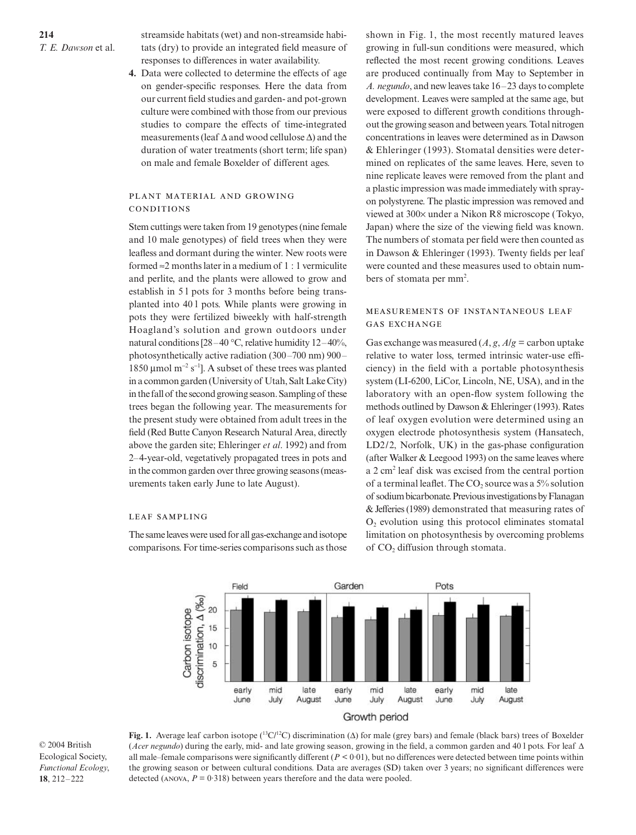streamside habitats (wet) and non-streamside habitats (dry) to provide an integrated field measure of responses to differences in water availability.

**4.** Data were collected to determine the effects of age on gender-specific responses. Here the data from our current field studies and garden- and pot-grown culture were combined with those from our previous studies to compare the effects of time-integrated measurements (leaf ∆ and wood cellulose ∆) and the duration of water treatments (short term; life span) on male and female Boxelder of different ages.

#### PLANT MATERIAL AND GROWING CONDITIONS

Stem cuttings were taken from 19 genotypes(nine female and 10 male genotypes) of field trees when they were leafless and dormant during the winter. New roots were formed  $\approx$  2 months later in a medium of 1 : 1 vermiculite and perlite, and the plants were allowed to grow and establish in 5 l pots for 3 months before being transplanted into 40 l pots. While plants were growing in pots they were fertilized biweekly with half-strength Hoagland's solution and grown outdoors under natural conditions  $[28-40 \text{ C}, \text{relative humidity } 12-40\%,$ photosynthetically active radiation (300–700 nm) 900– 1850 mol m<sup>−</sup><sup>2</sup> s<sup>−</sup><sup>1</sup> ]. A subset of these trees was planted in a common garden (University of Utah, SaltLakeCity) in the fall of the second growing season. Sampling of these trees began the following year. The measurements for the present study were obtained from adult trees in the field (Red Butte Canyon Research Natural Area, directly above the garden site; Ehleringer *et al*. 1992) and from 2–4-year-old, vegetatively propagated trees in pots and in the common garden over three growing seasons (measurements taken early June to late August).

#### **LEAF SAMPLING**

The same leaves were used for all gas-exchange and isotope comparisons. For time-series comparisons such as those shown in Fig. 1, the most recently matured leaves growing in full-sun conditions were measured, which reflected the most recent growing conditions. Leaves are produced continually from May to September in *A. negundo*, and new leavestake 16–23 daysto complete development. Leaves were sampled at the same age, but were exposed to different growth conditions throughout the growing season and between years. Total nitrogen concentrations in leaves were determined as in Dawson & Ehleringer (1993). Stomatal densities were determined on replicates of the same leaves. Here, seven to nine replicate leaves were removed from the plant and a plastic impression was made immediately with sprayon polystyrene. The plastic impression was removed and viewed at 300× under a Nikon R8 microscope (Tokyo, Japan) where the size of the viewing field was known. The numbers of stomata per field were then counted as in Dawson & Ehleringer (1993). Twenty fields per leaf were counted and these measures used to obtain numbers of stomata per mm<sup>2</sup>.

## MEASUREMENTS OF INSTANTANEOUS LEAF **GAS EXCHANGE**

Gas exchange was measured  $(A, g, A/g =$  carbon uptake relative to water loss, termed intrinsic water-use efficiency) in the field with a portable photosynthesis system (LI-6200, LiCor, Lincoln, NE, USA), and in the laboratory with an open-flow system following the methods outlined by Dawson & Ehleringer (1993). Rates of leaf oxygen evolution were determined using an oxygen electrode photosynthesis system (Hansatech, LD2/2, Norfolk, UK) in the gas-phase configuration (after Walker  $& Leegood 1993$ ) on the same leaves where a 2 cm2 leaf disk was excised from the central portion of a terminal leaflet. The  $CO<sub>2</sub>$  source was a 5% solution of sodium bicarbonate. Previous investigations by Flanagan & Jefferies(1989) demonstrated that measuring rates of  $O<sub>2</sub>$  evolution using this protocol eliminates stomatal limitation on photosynthesis by overcoming problems of CO<sub>2</sub> diffusion through stomata.



© 2004 British Ecological Society, *Functional Ecology*, **18**, 212–222

**Fig. 1.** Average leaf carbon isotope ( 13C/12C) discrimination (∆) for male (grey bars) and female (black bars) trees of Boxelder (*Acer negundo*) during the early, mid- and late growing season, growing in the field, a common garden and 40 l pots. For leaf ∆ all male–female comparisons were significantly different  $(P < 0.01)$ , but no differences were detected between time points within the growing season or between cultural conditions. Data are averages (SD) taken over 3 years; no significant differences were detected (ANOVA,  $P = 0.318$ ) between years therefore and the data were pooled.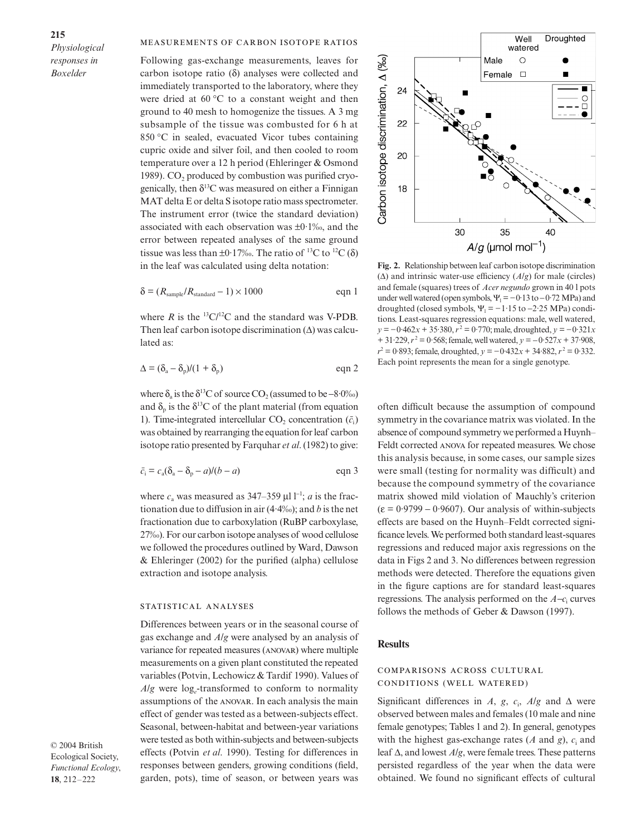#### MEASUREMENTS OF CARBON ISOTOPE RATIOS

Following gas-exchange measurements, leaves for carbon isotope ratio  $(\delta)$  analyses were collected and immediately transported to the laboratory, where they were dried at 60 C to a constant weight and then ground to 40 mesh to homogenize the tissues. A 3 mg subsample of the tissue was combusted for 6 h at 850 C in sealed, evacuated Vicor tubes containing cupric oxide and silver foil, and then cooled to room temperature over a 12 h period (Ehleringer & Osmond 1989).  $CO<sub>2</sub>$  produced by combustion was purified cryogenically, then  $\delta^{13}$ C was measured on either a Finnigan MAT delta E or delta S isotope ratio mass spectrometer. The instrument error (twice the standard deviation) associated with each observation was  $\pm 0.1\%$ , and the error between repeated analyses of the same ground tissue was less than  $\pm 0.17\%$ . The ratio of <sup>13</sup>C to <sup>12</sup>C ( $\delta$ ) in the leaf was calculated using delta notation:

$$
\delta = (R_{\text{sample}}/R_{\text{standard}} - 1) \times 1000 \qquad \text{eqn 1}
$$

where *R* is the  ${}^{13}C/{}^{12}C$  and the standard was V-PDB. Then leaf carbon isotope discrimination (∆) was calculated as:

$$
\Delta = (\delta_a - \delta_p)/(1 + \delta_p) \qquad \text{eqn 2}
$$

where  $\delta_a$  is the  $\delta^{13}C$  of source CO<sub>2</sub> (assumed to be –8·0‰) and  $\delta_n$  is the  $\delta^{13}$ C of the plant material (from equation 1). Time-integrated intercellular  $CO_2$  concentration  $(\bar{c}_i)$ was obtained by rearranging the equation for leaf carbon isotope ratio presented by Farquhar *et al.* (1982) to give:

$$
\bar{c}_i = c_a(\delta_a - \delta_p - a)/(b - a) \qquad \text{eqn 3}
$$

where  $c_a$  was measured as 347–359 l l<sup>-1</sup>; *a* is the fractionation due to diffusion in air (4·4‰); and *b* is the net fractionation due to carboxylation (RuBP carboxylase, 27‰).For our carbon isotope analyses of wood cellulose we followed the procedures outlined by Ward, Dawson & Ehleringer (2002) for the purified (alpha) cellulose extraction and isotope analysis.

#### STATISTICAL ANALYSES

Differences between years or in the seasonal course of gas exchange and *A*/*g* were analysed by an analysis of variance for repeated measures (ANOVAR) where multiple measurements on a given plant constituted the repeated variables (Potvin, Lechowicz & Tardif 1990). Values of *A*/*g* were log*e*-transformed to conform to normality assumptions of the ANOVAR. In each analysis the main effect of gender was tested as a between-subjects effect. Seasonal, between-habitat and between-year variations were tested as both within-subjects and between-subjects effects (Potvin *et al*. 1990). Testing for differences in responses between genders, growing conditions (field, garden, pots), time of season, or between years was

© 2004 British Ecological Society, *Functional Ecology*, **18**, 212–222



**Fig. 2.** Relationship between leaf carbon isotope discrimination (∆) and intrinsic water-use efficiency (*A*/*g*) for male (circles) and female (squares) trees of *Acer negundo* grown in 40 l pots under well watered (open symbols,  $\Psi_1 = -0.13$  to  $-0.72$  MPa) and droughted (closed symbols,  $\Psi_1 = -1.15$  to  $-2.25$  MPa) conditions. Least-squares regression equations: male, well watered, *y* = −0⋅462*x* + 35⋅380,  $r^2$  = 0⋅770; male, droughted,  $y$  = −0⋅321*x* + 31·229,  $r^2$  = 0·568; female, well watered,  $y$  = −0·527*x* + 37·908, *r*<sup>2</sup> = 0·893; female, droughted, *y* = −0·432*x* + 34·882, *r*<sup>2</sup> = 0·332. Each point represents the mean for a single genotype.

often difficult because the assumption of compound symmetry in the covariance matrix was violated. In the absence of compound symmetry we performed a Huynh– Feldt corrected ANOVA for repeated measures. We chose this analysis because, in some cases, our sample sizes were small (testing for normality was difficult) and because the compound symmetry of the covariance matrix showed mild violation of Mauchly's criterion  $(\epsilon = 0.9799 - 0.9607)$ . Our analysis of within-subjects effects are based on the Huynh–Feldt corrected significance levels.We performed both standard least-squares regressions and reduced major axis regressions on the data in Figs 2 and 3. No differences between regression methods were detected. Therefore the equations given in the figure captions are for standard least-squares regressions. The analysis performed on the *A*−*c*<sup>i</sup> curves follows the methods of Geber & Dawson (1997).

## **Results**

### COMPARISONS ACROSS CULTURAL CONDITIONS (WELL WATERED)

Significant differences in *A*, *g*, *c*<sub>i</sub>, *A*/*g* and  $\Delta$  were observed between males and females (10 male and nine female genotypes; Tables 1 and 2). In general, genotypes with the highest gas-exchange rates (*A* and *g*), *c*<sup>i</sup> and leaf ∆, and lowest *A*/*g*, were female trees. These patterns persisted regardless of the year when the data were obtained. We found no significant effects of cultural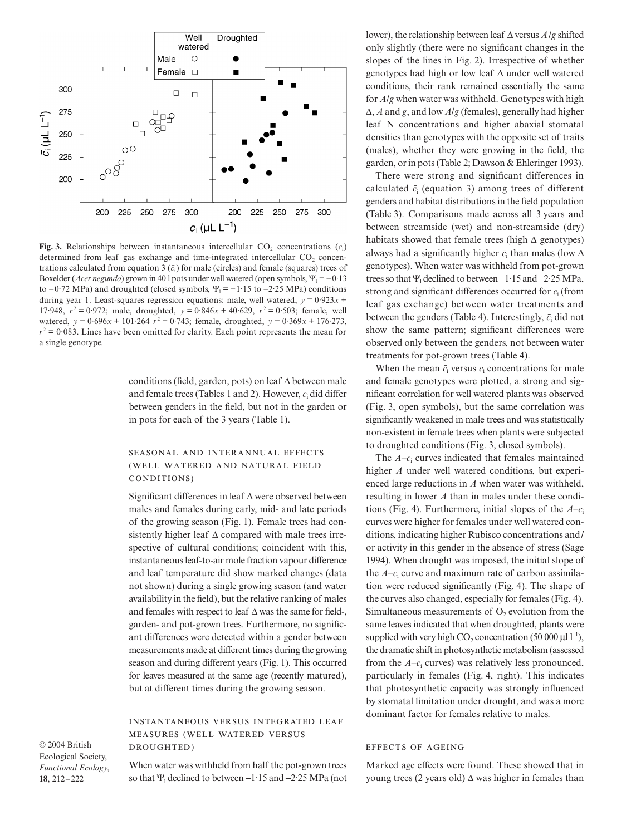

**Fig. 3.** Relationships between instantaneous intercellular  $CO_2$  concentrations  $(c_i)$ determined from leaf gas exchange and time-integrated intercellular  $CO<sub>2</sub>$  concentrations calculated from equation 3  $(\bar{c}_i)$  for male (circles) and female (squares) trees of Boxelder (*Acer negundo*) grown in 40 l pots under well watered (open symbols,  $\Psi_1 = -0.13$ ) to  $-0.72$  MPa) and droughted (closed symbols,  $\Psi_1 = -1.15$  to  $-2.25$  MPa) conditions during year 1. Least-squares regression equations: male, well watered,  $y = 0.923x +$ 17.948,  $r^2 = 0.972$ ; male, droughted,  $y = 0.846x + 40.629$ ,  $r^2 = 0.503$ ; female, well watered,  $y = 0.696x + 101.264$   $r^2 = 0.743$ ; female, droughted,  $y = 0.369x + 176.273$ ,  $r^2$  = 0.083. Lines have been omitted for clarity. Each point represents the mean for a single genotype.

conditions (field, garden, pots) on leaf ∆ between male and female trees (Tables 1 and 2). However, *c*<sup>i</sup> did differ between genders in the field, but not in the garden or in pots for each of the 3 years (Table 1).

## SEASONAL AND INTERANNUAL EFFECTS (WELL WATERED AND NATURAL FIELD CONDITIONS)

Significant differences in leaf ∆ were observed between males and females during early, mid- and late periods of the growing season (Fig. 1). Female trees had consistently higher leaf ∆ compared with male trees irrespective of cultural conditions; coincident with this, instantaneousleaf-to-air mole fraction vapour difference and leaf temperature did show marked changes (data not shown) during a single growing season (and water availability in the field), but the relative ranking of males and females with respect to leaf ∆ was the same for field-, garden- and pot-grown trees. Furthermore, no significant differences were detected within a gender between measurements made at different times during the growing season and during different years (Fig. 1). This occurred for leaves measured at the same age (recently matured), but at different times during the growing season.

**INSTANTANEOUS VERSUS INTEGRATED LEAF** MEASURES (WELL WATERED VERSUS DROUGHTED)

© 2004 British Ecological Society, *Functional Ecology*, **18**, 212–222

When water was withheld from half the pot-grown trees so that Ψ<sub>1</sub> declined to between  $-1.15$  and  $-2.25$  MPa (not lower), the relationship between leaf ∆ versus *A*/*g* shifted only slightly (there were no significant changes in the slopes of the lines in Fig. 2). Irrespective of whether genotypes had high or low leaf ∆ under well watered conditions, their rank remained essentially the same for *A*/*g* when water was withheld. Genotypes with high ∆, *A* and *g*, and low *A*/*g* (females), generally had higher leaf N concentrations and higher abaxial stomatal densities than genotypes with the opposite set of traits (males), whether they were growing in the field, the garden, or in pots (Table 2; Dawson & Ehleringer 1993).

There were strong and significant differences in calculated  $\bar{c}_i$  (equation 3) among trees of different genders and habitat distributions in the field population (Table 3). Comparisons made across all 3 years and between streamside (wet) and non-streamside (dry) habitats showed that female trees (high  $\Delta$  genotypes) always had a significantly higher  $\bar{c}$ , than males (low  $\Delta$ genotypes). When water was withheld from pot-grown trees so that Ψ<sub>1</sub> declined to between  $-1.15$  and  $-2.25$  MPa, strong and significant differences occurred for *c*<sup>i</sup> (from leaf gas exchange) between water treatments and between the genders (Table 4). Interestingly,  $\bar{c}_i$  did not show the same pattern; significant differences were observed only between the genders, not between water treatments for pot-grown trees (Table 4).

When the mean  $\bar{c}_i$  versus  $c_i$  concentrations for male and female genotypes were plotted, a strong and significant correlation for well watered plants was observed (Fig. 3, open symbols), but the same correlation was significantly weakened in male trees and was statistically non-existent in female trees when plants were subjected to droughted conditions (Fig. 3, closed symbols).

The *A–c*<sup>i</sup> curves indicated that females maintained higher *A* under well watered conditions, but experienced large reductions in *A* when water was withheld, resulting in lower *A* than in males under these conditions (Fig. 4). Furthermore, initial slopes of the  $A-c_i$ curves were higher for females under well watered conditions, indicating higher Rubisco concentrations and/ or activity in this gender in the absence of stress (Sage 1994). When drought was imposed, the initial slope of the  $A-c_i$  curve and maximum rate of carbon assimilation were reduced significantly (Fig. 4). The shape of the curves also changed, especially for females (Fig. 4). Simultaneous measurements of  $O_2$  evolution from the same leaves indicated that when droughted, plants were supplied with very high  $CO_2$  concentration (50 000 l l<sup>-1</sup>), the dramatic shift in photosynthetic metabolism (assessed from the *A–c*<sup>i</sup> curves) was relatively less pronounced, particularly in females (Fig. 4, right). This indicates that photosynthetic capacity was strongly influenced by stomatal limitation under drought, and was a more dominant factor for females relative to males.

#### **EFFECTS OF AGEING**

Marked age effects were found. These showed that in young trees (2 years old)  $\Delta$  was higher in females than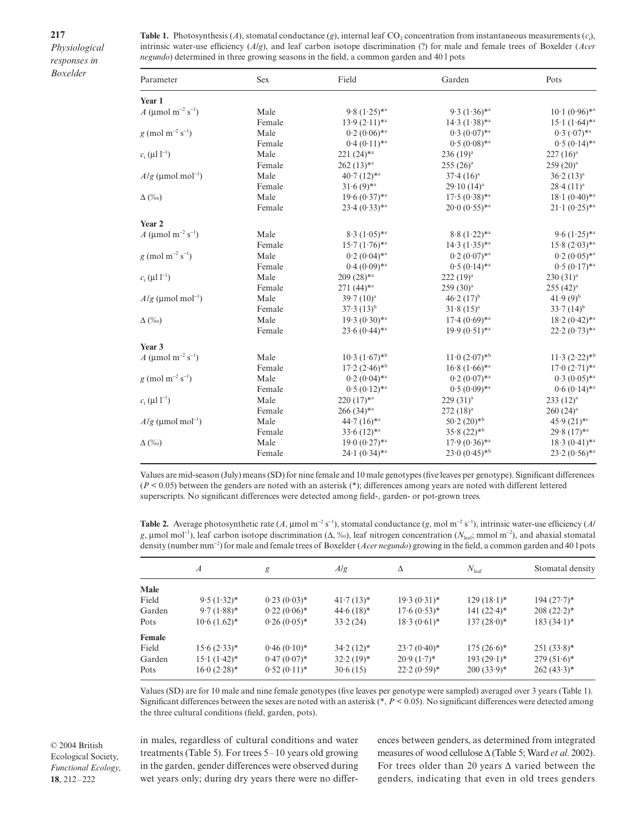| <b>Table 1.</b> Photosynthesis (A), stomatal conductance (g), internal leaf CO <sub>2</sub> concentration from instantaneous measurements (c <sub>i</sub> ), |  |
|--------------------------------------------------------------------------------------------------------------------------------------------------------------|--|
| intrinsic water-use efficiency $(A/g)$ , and leaf carbon isotope discrimination (?) for male and female trees of Boxelder ( <i>Acer</i>                      |  |
| <i>negundo</i> ) determined in three growing seasons in the field, a common garden and 40 l pots                                                             |  |

| Parameter                                  | <b>Sex</b> | Field                        | Garden                                    | Pots                         |
|--------------------------------------------|------------|------------------------------|-------------------------------------------|------------------------------|
| Year 1                                     |            |                              |                                           |                              |
| $A \, (\text{ mol m}^{-2} \text{ s}^{-1})$ | Male       | $9.8(1.25)$ * <sup>a</sup>   | $9.3(1.36)$ * <sup>a</sup>                | $10.1 (0.96)$ * <sup>a</sup> |
|                                            | Female     | $13.9(2.11)*a$               | $14.3 (1.38)$ *a                          | $15.1 (1.64)$ *a             |
| $g \pmod{m^{-2} s^{-1}}$                   | Male       | $0.2(0.06)$ * <sup>a</sup>   | $0.3(0.07)$ <sup>*a</sup>                 | $0.3$ $(0.07)$ <sup>*a</sup> |
|                                            | Female     | $0.4 (0.11)^{*a}$            | $0.5(0.08)$ <sup>*a</sup>                 | $0.5 (0.14)$ * <sup>a</sup>  |
| $c_i$ ( $11^{-1}$ )                        | Male       | 221 (24)*a                   | $236(19)^{a}$                             | $227(16)^a$                  |
|                                            | Female     | $262(13)*^a$                 | $255(26)^{a}$                             | $259(20)^{a}$                |
| $A/g$ (mol mol <sup>-1</sup> )             | Male       | $40.7(12)*a$                 | $37.4~(16)^a$                             | $36.2(13)^a$                 |
|                                            | Female     | $31.6(9)$ *a                 | $29.10(14)^a$                             | $28.4 (11)^a$                |
| $\Delta$ (%o)                              | Male       | $19.6 (0.37)$ * <sup>a</sup> | $17.5 (0.38)$ *a                          | $18.1 (0.40)$ * <sup>a</sup> |
|                                            | Female     | $23.4(0.33)$ *a              | $20.0 (0.55)$ *a                          | $21 \cdot 1 (0.25)$ *a       |
| Year 2                                     |            |                              |                                           |                              |
| $A \; (\mod m^{-2} s^{-1})$                | Male       | $8.3(1.05)$ *a               | $8.8(1.22)$ *a                            | 9.6 $(1.25)$ *a              |
|                                            | Female     | $15.7 (1.76)^{*a}$           | $14.3 (1.35)$ *a                          | $15.8 (2.03)$ *a             |
| $g \pmod{m^{-2} s^{-1}}$                   | Male       | $0.2(0.04)$ * <sup>a</sup>   | $0.2 (0.07)$ * <sup>a</sup>               | $0.2 (0.05)$ * <sup>a</sup>  |
|                                            | Female     | $0.4(0.09)$ *a               | $0.5(0.14)$ <sup>*a</sup>                 | $0.5 (0.17)$ *a              |
| $c_i$ ( $11^{-1}$ )                        | Male       | $209(28)*a$                  | $222(19)^a$                               | $230(31)^{a}$                |
|                                            | Female     | $271(44)^{*a}$               | $259(30)^{a}$                             | $255 (42)^a$                 |
| $A/g$ (mol mol <sup>-1</sup> )             | Male       | $39.7(10)^a$                 | $46.2(17)^{b}$                            | $41.9(9)^{b}$                |
|                                            | Female     | $37.3(13)^{b}$               | $31.8(15)^a$                              | $33.7(14)^{b}$               |
| $\Delta(\%0)$                              | Male       | $19.3(0.30)*$ <sup>2</sup>   | $17.4(0.69)$ * <sup>a</sup>               | $18.2 (0.42)^{*a}$           |
|                                            | Female     | $23.6(0.44)$ *a              | $19.9(0.51)$ *a                           | $22.2(0.73)$ *a              |
| Year 3                                     |            |                              |                                           |                              |
| A (mol m <sup>-2</sup> s <sup>-1</sup> )   | Male       | $10.3(1.67)$ <sup>*b</sup>   | $11 \cdot 0$ $(2 \cdot 07)$ <sup>*b</sup> | $11.3 (2.22)^{*b}$           |
|                                            | Female     | $17.2 (2.46)^{*b}$           | $16.8 (1.66)$ * <sup>a</sup>              | $17.0(2.71)*$ <sup>2</sup>   |
| $g \pmod{m^{-2} s^{-1}}$                   | Male       | $0.2 (0.04)$ * <sup>a</sup>  | $0.2 (0.07)$ * <sup>a</sup>               | $0.3(0.05)$ * <sup>a</sup>   |
|                                            | Female     | $0.5 (0.12)^{*a}$            | $0.5(0.09)$ *a                            | $0.6(0.14)$ *a               |
| $c_i$ ( $11^{-1}$ )                        | Male       | $220(17)*a$                  | $229(31)^{a}$                             | $233 (12)^a$                 |
|                                            | Female     | $266(34)*a$                  | $272(18)^{a}$                             | $260 (24)^a$                 |
| $A/g$ (mol mol <sup>-1</sup> )             | Male       | $44.7(16)*a$                 | $50.2(20)$ *b                             | $45.9(21) *c$                |
|                                            | Female     | $33.6(12)*a$                 | $35.8(22)$ *b                             | $29.8(17)*$ <sup>a</sup>     |
| $\Delta$ (%o)                              | Male       | $19.0 (0.27)$ * <sup>a</sup> | $17.9(0.36)$ *a                           | $18.3(0.41)$ * <sup>a</sup>  |
|                                            | Female     | $24 \cdot 1 (0.34)^{*a}$     | $23.0(0.45)$ <sup>*b</sup>                | $23.2(0.56)$ *a              |

Values are mid-season (July) means (SD) for nine female and 10 male genotypes (five leaves per genotype). Significant differences (*P* < 0.05) between the genders are noted with an asterisk (\*); differences among years are noted with different lettered superscripts. No significant differences were detected among field-, garden- or pot-grown trees.

Table 2. Average photosynthetic rate  $(A, \text{mol m}^{-2} \text{ s}^{-1})$ , stomatal conductance  $(g, \text{mol m}^{-2} \text{ s}^{-1})$ , intrinsic water-use efficiency  $(A)$ *g*, mol mol<sup>−</sup><sup>1</sup> ), leaf carbon isotope discrimination (∆, ‰), leaf nitrogen concentration (*N*leaf; mmol m<sup>−</sup><sup>2</sup> ), and abaxial stomatal density (number mm<sup>−</sup><sup>2</sup> ) for male and female trees of Boxelder (*Acer negundo*) growing in the field, a common garden and 40 l pots

|        | $\boldsymbol{A}$            | g              | A/g          | Δ              | $N_{\text{leaf}}$ | Stomatal density |
|--------|-----------------------------|----------------|--------------|----------------|-------------------|------------------|
| Male   |                             |                |              |                |                   |                  |
| Field  | $9.5(1.32)^{*}$             | $0.23(0.03)^*$ | $41.7(13)^*$ | $19.3(0.31)^*$ | $129(18.1)^*$     | $194(27.7)^*$    |
| Garden | $9.7(1.88)$ *               | $0.22(0.06)^*$ | $44.6(18)$ * | $17.6(0.53)$ * | 141 $(22.4)^*$    | $208 (22.2)^*$   |
| Pots   | $10.6(1.62)^*$              | $0.26(0.05)^*$ | 33.2(24)     | $18.3(0.61)^*$ | $137(28.0)^*$     | $183(34.1)^*$    |
| Female |                             |                |              |                |                   |                  |
| Field  | $15.6(2.33)*$               | $0.46(0.10)*$  | $34.2(12)^*$ | $23.7(0.40)^*$ | $175(26.6)^*$     | $251(33.8)^*$    |
| Garden | $15 \cdot 1 (1 \cdot 42)^*$ | $0.47(0.07)^*$ | $32.2(19)^*$ | $20.9(1.7)^*$  | $193(29.1)^*$     | $279(51.6)^*$    |
| Pots   | $16.0 (2.28)^*$             | $0.52(0.11)^*$ | 30.6(15)     | $22.2(0.59)$ * | $200(33.9)^*$     | $262 (43.3)^*$   |

Values (SD) are for 10 male and nine female genotypes (five leaves per genotype were sampled) averaged over 3 years (Table 1). Significant differences between the sexes are noted with an asterisk (\*, *P* < 0.05). No significant differences were detected among the three cultural conditions (field, garden, pots).

© 2004 British Ecological Society, *Functional Ecology*, **18**, 212–222

in males, regardless of cultural conditions and water treatments (Table 5). For trees 5–10 years old growing in the garden, gender differences were observed during wet years only; during dry years there were no differences between genders, as determined from integrated measures of wood cellulose ∆ (Table 5; Ward *et al*. 2002). For trees older than 20 years ∆ varied between the genders, indicating that even in old trees genders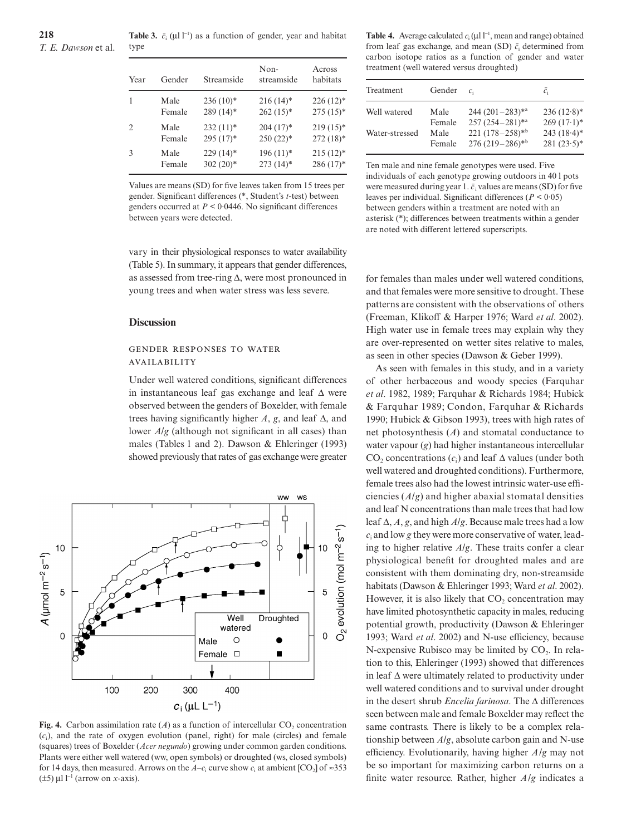**Table 3.**  $\bar{c}_i$  (  $11^{-1}$ ) as a function of gender, year and habitat type

| Year | Gender | Streamside  | Non-<br>streamside | Across<br>habitats |
|------|--------|-------------|--------------------|--------------------|
|      | Male   | $236(10)*$  | $216(14)$ *        | $226(12)*$         |
|      | Female | $289(14)$ * | $262(15)*$         | $275(15)^*$        |
| 2    | Male   | $232(11)*$  | $204(17)^*$        | $219(15)*$         |
|      | Female | $295(17)^*$ | $250(22)$ *        | $272(18)$ *        |
| 3    | Male   | $229(14)$ * | $196(11)*$         | $215(12)*$         |
|      | Female | $302(20)*$  | $273(14)$ *        | $286(17)^*$        |

Values are means (SD) for five leaves taken from 15 trees per gender. Significant differences (\*, Student's *t-*test) between genders occurred at *P* < 0·0446. No significant differences between years were detected.

vary in their physiological responses to water availability (Table 5). In summary, it appears that gender differences, as assessed from tree-ring ∆, were most pronounced in young trees and when water stress was less severe.

#### **Discussion**

#### **GENDER RESPONSES TO WATER** AVAILABILITY

Under well watered conditions, significant differences in instantaneous leaf gas exchange and leaf ∆ were observed between the genders of Boxelder, with female trees having significantly higher *A*, *g*, and leaf ∆, and lower *A*/*g* (although not significant in all cases) than males (Tables 1 and 2). Dawson & Ehleringer (1993) showed previously that rates of gas exchange were greater



(squares) trees of Boxelder (*Acer negundo*) growing under common garden conditions. Plants were either well watered (ww, open symbols) or droughted (ws, closed symbols) for 14 days, then measured. Arrows on the *A–c*<sub>i</sub> curve show *c*<sub>i</sub> at ambient [CO<sub>2</sub>] of ≈353  $(±5)$  1<sup>-1</sup> (arrow on *x*-axis). **Fig. 4.** Carbon assimilation rate  $(A)$  as a function of intercellular CO<sub>2</sub> concentration (*c*i), and the rate of oxygen evolution (panel, right) for male (circles) and female

**Table 4.** Average calculated  $c_i$  (  $11^{-1}$ , mean and range) obtained from leaf gas exchange, and mean (SD)  $\bar{c}_i$  determined from carbon isotope ratios as a function of gender and water treatment (well watered versus droughted)

| Treatment      | Gender | $\mathcal{C}_1$              | $\mathcal{C}_i$ |
|----------------|--------|------------------------------|-----------------|
| Well watered   | Male   | $244 (201 - 283)^{*a}$       | $236(12.8)$ *   |
|                | Female | $257(254-281)$ *a            | $269(17.1)^*$   |
| Water-stressed | Male   | 221 $(178-258)*b$            | $243(18.4)$ *   |
|                | Female | $276(219-286)$ <sup>*b</sup> | $281 (23.5)^*$  |

Ten male and nine female genotypes were used. Five individuals of each genotype growing outdoors in 40 l pots were measured during year 1.  $\bar{c}$ , values are means (SD) for five leaves per individual. Significant differences (*P* < 0·05) between genders within a treatment are noted with an asterisk (\*); differences between treatments within a gender are noted with different lettered superscripts.

for females than males under well watered conditions, and that females were more sensitive to drought. These patterns are consistent with the observations of others (Freeman, Klikoff & Harper 1976; Ward *et al*. 2002). High water use in female trees may explain why they are over-represented on wetter sites relative to males, as seen in other species (Dawson & Geber 1999).

As seen with females in this study, and in a variety of other herbaceous and woody species (Farquhar *et al*. 1982, 1989; Farquhar & Richards 1984; Hubick & Farquhar 1989; Condon, Farquhar & Richards 1990; Hubick & Gibson 1993), trees with high rates of net photosynthesis (*A*) and stomatal conductance to water vapour (*g*) had higher instantaneous intercellular CO<sub>2</sub> concentrations (*c*<sub>i</sub>) and leaf ∆ values (under both well watered and droughted conditions). Furthermore, female trees also had the lowest intrinsic water-use efficiencies (*A*/*g*) and higher abaxial stomatal densities and leaf N concentrations than male trees that had low leaf ∆, *A*, *g*, and high *A*/*g*. Because male trees had a low *c*<sup>i</sup> and low *g* they were more conservative of water, leading to higher relative *A*/*g*. These traits confer a clear physiological benefit for droughted males and are consistent with them dominating dry, non-streamside habitats (Dawson & Ehleringer 1993; Ward *et al*. 2002). However, it is also likely that  $CO<sub>2</sub>$  concentration may have limited photosynthetic capacity in males, reducing potential growth, productivity (Dawson & Ehleringer 1993; Ward *et al*. 2002) and N-use efficiency, because N-expensive Rubisco may be limited by  $CO<sub>2</sub>$ . In relation to this, Ehleringer (1993) showed that differences in leaf ∆ were ultimately related to productivity under well watered conditions and to survival under drought in the desert shrub *Encelia farinosa*. The ∆ differences seen between male and female Boxelder may reflect the same contrasts. There is likely to be a complex relationship between *A*/*g*, absolute carbon gain and N-use efficiency. Evolutionarily, having higher *A*/*g* may not be so important for maximizing carbon returns on a finite water resource. Rather, higher *A*/*g* indicates a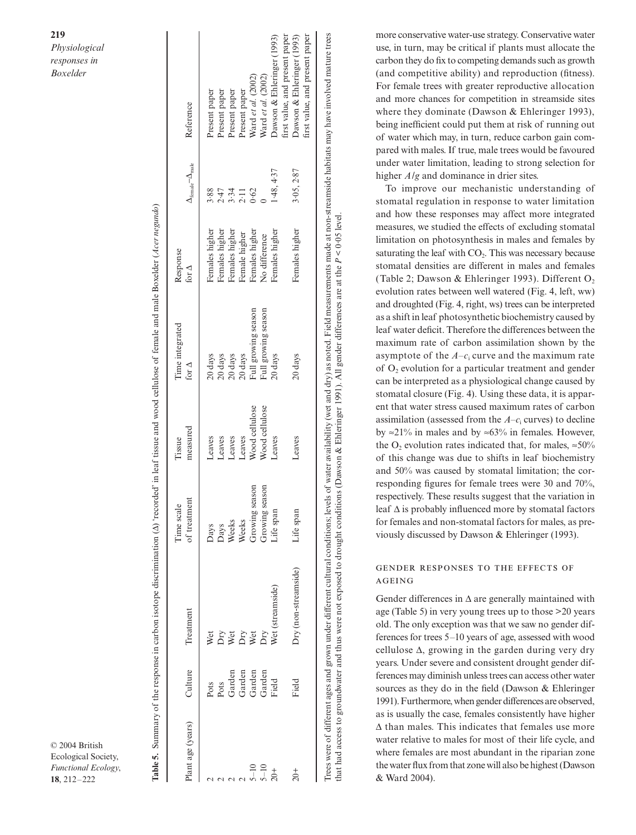| lant age (years)                  | Culture                                              | Treatment                                                                 | of treatment<br>Time scal                                             | measured<br>Tissue | Time integrated<br>for $\Delta$                                                                                                                                       | Response<br>for $\Delta$ | $\Delta_{\text{female}} - \Delta_{\text{male}}$ | Reference                                                                                     |
|-----------------------------------|------------------------------------------------------|---------------------------------------------------------------------------|-----------------------------------------------------------------------|--------------------|-----------------------------------------------------------------------------------------------------------------------------------------------------------------------|--------------------------|-------------------------------------------------|-----------------------------------------------------------------------------------------------|
|                                   |                                                      |                                                                           |                                                                       | Leaves             | 20 days                                                                                                                                                               | Females higher           | 3.88                                            | Present paper                                                                                 |
|                                   |                                                      |                                                                           |                                                                       | Leaves             |                                                                                                                                                                       | Females higher           |                                                 | resent paper                                                                                  |
|                                   | Pots<br>Pots<br>Garden<br>Garden<br>Garden<br>Garden | Wet<br>Dry<br>Dry<br>Wet<br>Wet<br>Streamside)<br>Dry<br>Wet (streamside) | Days<br>Days<br>Weeks<br>Weeks<br>Growing s<br>Growing s<br>Growing s | Leaves             | $\begin{tabular}{l} 20 \; \mathrm{days} \\ 20 \; \mathrm{days} \\ 20 \; \mathrm{days} \\ \mathrm{Full} \; \mathrm{g} \\ \mathrm{Full} \; \mathrm{g} \\ \end{tabular}$ | Females higher           | $2.47$<br>$3.31$<br>$2.11$                      | resent paper                                                                                  |
|                                   |                                                      |                                                                           |                                                                       | Leaves             |                                                                                                                                                                       | Female higher            |                                                 | Present paper                                                                                 |
|                                   |                                                      |                                                                           | season                                                                | Wood cellulose     |                                                                                                                                                                       | Females higher           | 0.62                                            | Ward et al. (2002)                                                                            |
| $\frac{10}{10}$<br>$\frac{1}{20}$ |                                                      |                                                                           | season                                                                | Wood cellulose     | Full growing season                                                                                                                                                   | No difference            |                                                 | Nard et al. (2002)                                                                            |
|                                   |                                                      |                                                                           |                                                                       | Leaves             | 20 days                                                                                                                                                               | Females higher           | 1.48, 4.37                                      | Dawson & Ehleringer (1993)                                                                    |
| $\dot{z}$                         | Field                                                | Dry (non-streamside)                                                      | life span                                                             | Leaves             | 20 days                                                                                                                                                               | Females higher           | 3.05, 2.87                                      | first value, and present paper<br>Dawson & Ehleringer (1993)<br>irst value, and present paper |
|                                   |                                                      |                                                                           |                                                                       |                    |                                                                                                                                                                       |                          |                                                 |                                                                                               |

∆) 'recorded' in leaf tissue and wood cellulose of female and male Boxelder (*Acer negundo*)

Trees were of different ages and grown under different cultural conditions; levels of water availability (wet and dry) as noted. Frield measurements made at non-streamside habitats may have involved mature trees water availability (wet and dry) as noted. Field measurements made at non-streamside habitats may have involved mature trees that had access to groundwater and thus were not exposed to drought conditions (Dawson & Ehleringer 1991). All gender differences are at the  $P < 0.05$  level. *P* < 0·05 level. Dawson & Ehleringer 1991). All gender differences are at the were of different ages and grown under different cultural conditions; levels of that had access to groundwater and thus were not exposed to drought conditions ( more conservative water-use strategy. Conservative water use, in turn, may be critical if plants must allocate the carbon they do fix to competing demands such as growth (and competitive ability) and reproduction (fitness). For female trees with greater reproductive allocation and more chances for competition in streamside sites where they dominate (Dawson & Ehleringer 1993), being inefficient could put them at risk of running out of water which may, in turn, reduce carbon gain compared with males. If true, male trees would be favoured under water limitation, leading to strong selection for higher *A*/*g* and dominance in drier sites.

To improve our mechanistic understanding of stomatal regulation in response to water limitation and how these responses may affect more integrated measures, we studied the effects of excluding stomatal limitation on photosynthesis in males and females by saturating the leaf with  $CO<sub>2</sub>$ . This was necessary because stomatal densities are different in males and females (Table 2; Dawson & Ehleringer 1993). Different  $O<sub>2</sub>$ evolution rates between well watered (Fig. 4, left, ww) and droughted (Fig. 4, right, ws) trees can be interpreted as a shift in leaf photosynthetic biochemistry caused by leaf water deficit. Therefore the differences between the maximum rate of carbon assimilation shown by the asymptote of the *A–c*<sup>i</sup> curve and the maximum rate of  $O<sub>2</sub>$  evolution for a particular treatment and gender can be interpreted as a physiological change caused by stomatal closure (Fig. 4). Using these data, it is apparent that water stress caused maximum rates of carbon assimilation (assessed from the  $A-c_i$  curves) to decline by ≈21% in males and by ≈63% in females. However, the O<sub>2</sub> evolution rates indicated that, for males,  $\approx 50\%$ of this change was due to shifts in leaf biochemistry and 50% was caused by stomatal limitation; the corresponding figures for female trees were 30 and 70%, respectively. These results suggest that the variation in leaf ∆ is probably influenced more by stomatal factors for females and non-stomatal factors for males, as previously discussed by Dawson & Ehleringer (1993).

## GENDER RESPONSES TO THE EFFECTS OF AGEING

Gender differences in ∆ are generally maintained with age (Table 5) in very young trees up to those >20 years old. The only exception was that we saw no gender differences for trees 5–10 years of age, assessed with wood cellulose ∆, growing in the garden during very dry years. Under severe and consistent drought gender differences may diminish unless trees can access other water sources as they do in the field (Dawson & Ehleringer 1991). Furthermore, when gender differences are observed, as is usually the case, females consistently have higher ∆ than males. This indicates that females use more water relative to males for most of their life cycle, and where females are most abundant in the riparian zone the water flux from that zone will also be highest(Dawson & Ward 2004).

© 2004 British Ecological Society, *Functional Ecology*, **18**<br> **18**, 212–222 **Particular Summary of the response discrimination (<br>
<b>18**, 212–222 **Table 5.** Summary of the response in carbon isotope discrimination<br> **18**, 212–222 **Table 5.**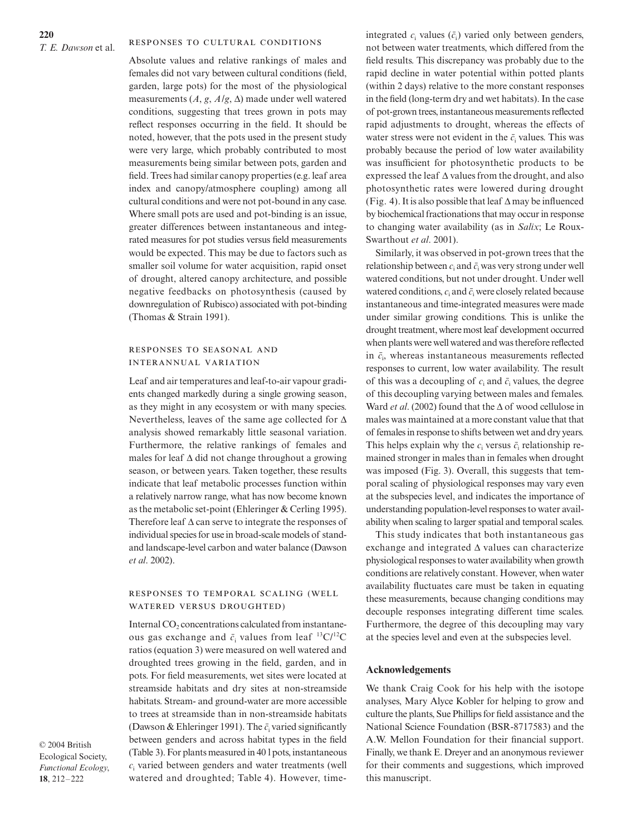Absolute values and relative rankings of males and females did not vary between cultural conditions (field, garden, large pots) for the most of the physiological measurements  $(A, g, A/g, \Delta)$  made under well watered conditions, suggesting that trees grown in pots may reflect responses occurring in the field. It should be noted, however, that the pots used in the present study were very large, which probably contributed to most measurements being similar between pots, garden and field. Trees had similar canopy properties (e.g. leaf area index and canopy/atmosphere coupling) among all cultural conditions and were not pot-bound in any case. Where small pots are used and pot-binding is an issue, greater differences between instantaneous and integrated measures for pot studies versus field measurements would be expected. This may be due to factors such as smaller soil volume for water acquisition, rapid onset of drought, altered canopy architecture, and possible negative feedbacks on photosynthesis (caused by downregulation of Rubisco) associated with pot-binding (Thomas & Strain 1991).

## RESPONSES TO SEASONAL AND **INTERANNUAL VARIATION**

Leaf and air temperatures and leaf-to-air vapour gradients changed markedly during a single growing season, as they might in any ecosystem or with many species. Nevertheless, leaves of the same age collected for ∆ analysis showed remarkably little seasonal variation. Furthermore, the relative rankings of females and males for leaf ∆ did not change throughout a growing season, or between years. Taken together, these results indicate that leaf metabolic processes function within a relatively narrow range, what has now become known as the metabolic set-point (Ehleringer & Cerling 1995). Therefore leaf ∆ can serve to integrate the responses of individual species for use in broad-scale models of standand landscape-level carbon and water balance (Dawson *et al*. 2002).

#### RESPONSES TO TEMPORAL SCALING (WELL WATERED VERSUS DROUGHTED)

Internal CO<sub>2</sub> concentrations calculated from instantaneous gas exchange and  $\bar{c}_i$  values from leaf  $^{13}$ C/<sup>12</sup>C ratios (equation 3) were measured on well watered and droughted trees growing in the field, garden, and in pots. For field measurements, wet sites were located at streamside habitats and dry sites at non-streamside habitats. Stream- and ground-water are more accessible to trees at streamside than in non-streamside habitats (Dawson & Ehleringer 1991). The  $\bar{c}_i$  varied significantly between genders and across habitat types in the field (Table 3).For plants measured in 40 l pots, instantaneous *c*<sup>i</sup> varied between genders and water treatments (well watered and droughted; Table 4). However, time-

© 2004 British Ecological Society, *Functional Ecology*, **18**, 212–222

integrated  $c_i$  values  $(\bar{c}_i)$  varied only between genders, not between water treatments, which differed from the field results. This discrepancy was probably due to the rapid decline in water potential within potted plants (within 2 days) relative to the more constant responses in the field (long-term dry and wet habitats). In the case of pot-grown trees, instantaneous measurements reflected rapid adjustments to drought, whereas the effects of water stress were not evident in the  $\bar{c}_i$  values. This was probably because the period of low water availability was insufficient for photosynthetic products to be expressed the leaf ∆ values from the drought, and also photosynthetic rates were lowered during drought (Fig. 4).Itis also possible that leaf ∆ may be influenced by biochemical fractionations that may occur in response to changing water availability (as in *Salix*; Le Roux-Swarthout *et al*. 2001).

Similarly, it was observed in pot-grown trees that the relationship between  $c_i$  and  $\bar{c}_i$  was very strong under well watered conditions, but not under drought. Under well watered conditions,  $c_i$  and  $\bar{c}_i$  were closely related because instantaneous and time-integrated measures were made under similar growing conditions. This is unlike the drought treatment, where most leaf development occurred when plants were well watered and wastherefore reflected in  $\bar{c}_i$ , whereas instantaneous measurements reflected responses to current, low water availability. The result of this was a decoupling of  $c_i$  and  $\bar{c}_i$  values, the degree of this decoupling varying between males and females. Ward *et al*. (2002) found that the ∆ of wood cellulose in males was maintained at a more constant value that that of femalesin response to shifts betweenwet and dry years. This helps explain why the  $c_i$  versus  $\bar{c}_i$  relationship remained stronger in males than in females when drought was imposed (Fig. 3). Overall, this suggests that temporal scaling of physiological responses may vary even at the subspecies level, and indicates the importance of understanding population-level responses to water availability when scaling to larger spatial and temporal scales.

This study indicates that both instantaneous gas exchange and integrated ∆ values can characterize physiological responses to water availability when growth conditions are relatively constant. However, when water availability fluctuates care must be taken in equating these measurements, because changing conditions may decouple responses integrating different time scales. Furthermore, the degree of this decoupling may vary at the species level and even at the subspecies level.

#### **Acknowledgements**

We thank Craig Cook for his help with the isotope analyses, Mary Alyce Kobler for helping to grow and culture the plants, Sue Phillips for field assistance and the National Science Foundation (BSR-8717583) and the A.W. Mellon Foundation for their financial support. Finally, we thank E. Dreyer and an anonymous reviewer for their comments and suggestions, which improved this manuscript.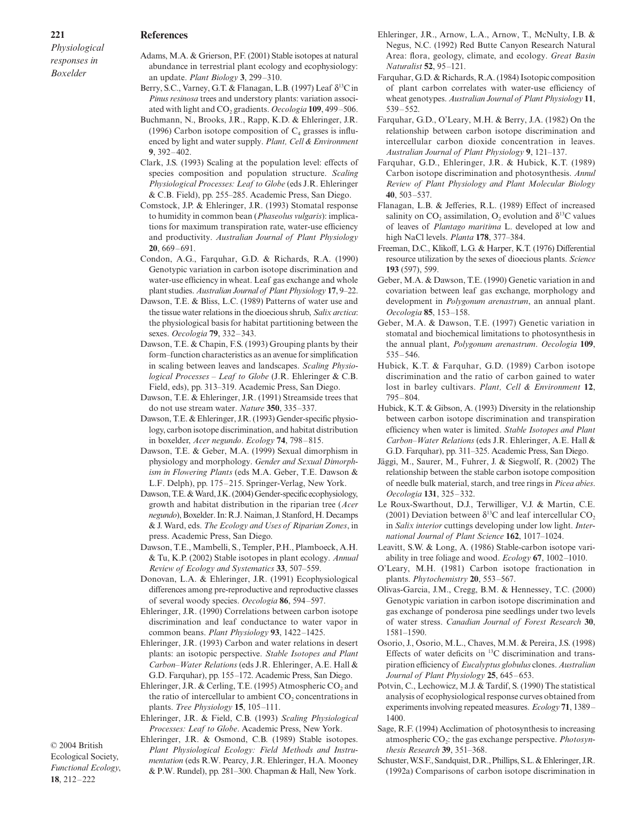#### **References**

*Physiological responses in Boxelder*

- Adams, M.A. & Grierson, P.F. (2001) Stable isotopes at natural abundance in terrestrial plant ecology and ecophysiology: an update. *Plant Biology* **3**, 299–310.
- Berry, S.C., Varney, G.T. & Flanagan, L.B. (1997) Leaf δ<sup>13</sup>C in *Pinus resinosa* trees and understory plants: variation associated with light and CO<sub>2</sub> gradients. *Oecologia* 109, 499-506.
- Buchmann, N., Brooks, J.R., Rapp, K.D. & Ehleringer, J.R. (1996) Carbon isotope composition of  $C_4$  grasses is influenced by light and water supply. *Plant, Cell & Environment* **9**, 392–402.
- Clark, J.S. (1993) Scaling at the population level: effects of species composition and population structure. *Scaling Physiological Processes: Leaf to Globe* (eds J.R. Ehleringer & C.B. Field), pp. 255–285. Academic Press, San Diego.
- Comstock, J.P. & Ehleringer, J.R. (1993) Stomatal response to humidity in common bean (*Phaseolus vulgaris*): implications for maximum transpiration rate, water-use efficiency and productivity. *Australian Journal of Plant Physiology* **20**, 669–691.
- Condon, A.G., Farquhar, G.D. & Richards, R.A. (1990) Genotypic variation in carbon isotope discrimination and water-use efficiency in wheat. Leaf gas exchange and whole plantstudies. *Australian Journal of PlantPhysiology* **17**, 9–22.
- Dawson, T.E. & Bliss, L.C. (1989) Patterns of water use and the tissue water relations in the dioecious shrub, *Salix arctica*: the physiological basis for habitat partitioning between the sexes. *Oecologia* **79**, 332–343.
- Dawson, T.E. & Chapin, F.S. (1993) Grouping plants by their form–function characteristics as an avenue for simplification in scaling between leaves and landscapes. *Scaling Physiological Processes – Leaf to Globe* (J.R. Ehleringer & C.B. Field, eds), pp. 313–319. Academic Press, San Diego.
- Dawson, T.E. & Ehleringer, J.R. (1991) Streamside trees that do not use stream water. *Nature* **350**, 335–337.
- Dawson, T.E. & Ehleringer, J.R. (1993) Gender-specific physiology, carbon isotope discrimination, and habitat distribution in boxelder, *Acer negundo*. *Ecology* **74**, 798–815.
- Dawson, T.E. & Geber, M.A. (1999) Sexual dimorphism in physiology and morphology. *Gender and Sexual Dimorphism in Flowering Plants* (eds M.A. Geber, T.E. Dawson & L.F. Delph), pp. 175–215. Springer-Verlag, New York.
- Dawson, T.E. & Ward, J.K. (2004) Gender-specific ecophysiology, growth and habitat distribution in the riparian tree (*Acer negundo*),Boxelder.In:R.J. Naiman, J. Stanford, H. Decamps & J. Ward, eds. *The Ecology and Uses of Riparian Zones*, in press. Academic Press, San Diego.
- Dawson, T.E., Mambelli, S., Templer, P.H., Plamboeck, A.H. & Tu, K.P. (2002) Stable isotopes in plant ecology. *Annual Review of Ecology and Systematics* **33**, 507–559.
- Donovan, L.A. & Ehleringer, J.R. (1991) Ecophysiological differences among pre-reproductive and reproductive classes of several woody species. *Oecologia* **86**, 594–597.
- Ehleringer, J.R. (1990) Correlations between carbon isotope discrimination and leaf conductance to water vapor in common beans. *Plant Physiology* **93**, 1422–1425.
- Ehleringer, J.R. (1993) Carbon and water relations in desert plants: an isotopic perspective. *Stable Isotopes and Plant Carbon–Water Relations* (eds J.R. Ehleringer, A.E. Hall & G.D. Farquhar), pp. 155–172. Academic Press, San Diego.
- Ehleringer, J.R. & Cerling, T.E. (1995) Atmospheric  $CO<sub>2</sub>$  and the ratio of intercellular to ambient  $CO<sub>2</sub>$  concentrations in plants. *Tree Physiology* **15**, 105–111.
- Ehleringer, J.R. & Field, C.B. (1993) *Scaling Physiological Processes: Leaf to Globe*. Academic Press, New York.

© 2004 British Ecological Society, *Functional Ecology*, **18**, 212–222

Ehleringer, J.R. & Osmond, C.B. (1989) Stable isotopes. *Plant Physiological Ecology: Field Methods and Instrumentation* (eds R.W. Pearcy, J.R. Ehleringer, H.A. Mooney & P.W. Rundel), pp. 281–300. Chapman & Hall, New York.

- Ehleringer, J.R., Arnow, L.A., Arnow, T., McNulty, I.B. & Negus, N.C. (1992) Red Butte Canyon Research Natural Area: flora, geology, climate, and ecology. *Great Basin Naturalist* **52**, 95–121.
- Farquhar, G.D. & Richards, R.A. (1984) Isotopic composition of plant carbon correlates with water-use efficiency of wheat genotypes. *Australian Journal of Plant Physiology* **11**, 539–552.
- Farquhar, G.D., O'Leary, M.H. & Berry, J.A. (1982) On the relationship between carbon isotope discrimination and intercellular carbon dioxide concentration in leaves. *Australian Journal of Plant Physiology* **9**, 121–137.
- Farquhar, G.D., Ehleringer, J.R. & Hubick, K.T. (1989) Carbon isotope discrimination and photosynthesis. *Annul Review of Plant Physiology and Plant Molecular Biology* **40**, 503–537.
- Flanagan, L.B. & Jefferies, R.L. (1989) Effect of increased salinity on  $CO_2$  assimilation,  $O_2$  evolution and  $\delta^{13}C$  values of leaves of *Plantago maritima* L. developed at low and high NaCl levels. *Planta* **178**, 377–384.
- Freeman, D.C., Klikoff, L.G. & Harper, K.T. (1976) Differential resource utilization by the sexes of dioecious plants. *Science* **193** (597), 599.
- Geber, M.A. & Dawson, T.E. (1990) Genetic variation in and covariation between leaf gas exchange, morphology and development in *Polygonum arenastrum*, an annual plant. *Oecologia* **85**, 153–158.
- Geber, M.A. & Dawson, T.E. (1997) Genetic variation in stomatal and biochemical limitations to photosynthesis in the annual plant, *Polygonum arenastrum*. *Oecologia* **109**, 535–546.
- Hubick, K.T. & Farquhar, G.D. (1989) Carbon isotope discrimination and the ratio of carbon gained to water lost in barley cultivars. *Plant, Cell & Environment* **12**, 795–804.
- Hubick, K.T. & Gibson, A. (1993) Diversity in the relationship between carbon isotope discrimination and transpiration efficiency when water is limited. *Stable Isotopes and Plant Carbon–Water Relations* (eds J.R. Ehleringer, A.E. Hall & G.D. Farquhar), pp. 311–325. Academic Press, San Diego.
- Jäggi, M., Saurer, M., Fuhrer, J. & Siegwolf, R. (2002) The relationship between the stable carbon isotope composition of needle bulk material, starch, and tree rings in *Picea abies*. *Oecologia* **131**, 325–332.
- Le Roux-Swarthout, D.J., Terwilliger, V.J. & Martin, C.E. (2001) Deviation between  $\delta^{13}$ C and leaf intercellular CO<sub>2</sub> in *Salix interior* cuttings developing under low light. *International Journal of Plant Science* **162**, 1017–1024.
- Leavitt, S.W. & Long, A. (1986) Stable-carbon isotope variability in tree foliage and wood. *Ecology* **67**, 1002–1010.
- O'Leary, M.H. (1981) Carbon isotope fractionation in plants. *Phytochemistry* **20**, 553–567.
- Olivas-Garcia, J.M., Cregg, B.M. & Hennessey, T.C. (2000) Genotypic variation in carbon isotope discrimination and gas exchange of ponderosa pine seedlings under two levels of water stress. *Canadian Journal of Forest Research* **30**, 1581–1590.
- Osorio, J., Osorio, M.L., Chaves, M.M. & Pereira, J.S. (1998) Effects of water deficits on  $^{13}$ C discrimination and transpiration efficiency of *Eucalyptus globulus* clones. *Australian Journal of Plant Physiology* **25**, 645–653.
- Potvin, C., Lechowicz, M.J. & Tardif, S. (1990) The statistical analysis of ecophysiological response curves obtained from experiments involving repeated measures. *Ecology* 71, 1389– 1400.
- Sage, R.F. (1994) Acclimation of photosynthesis to increasing atmospheric CO<sub>2</sub>: the gas exchange perspective. *Photosynthesis Research* **39**, 351–368.
- Schuster, W.S.F., Sandquist, D.R., Phillips, S.L. & Ehleringer, J.R. (1992a) Comparisons of carbon isotope discrimination in